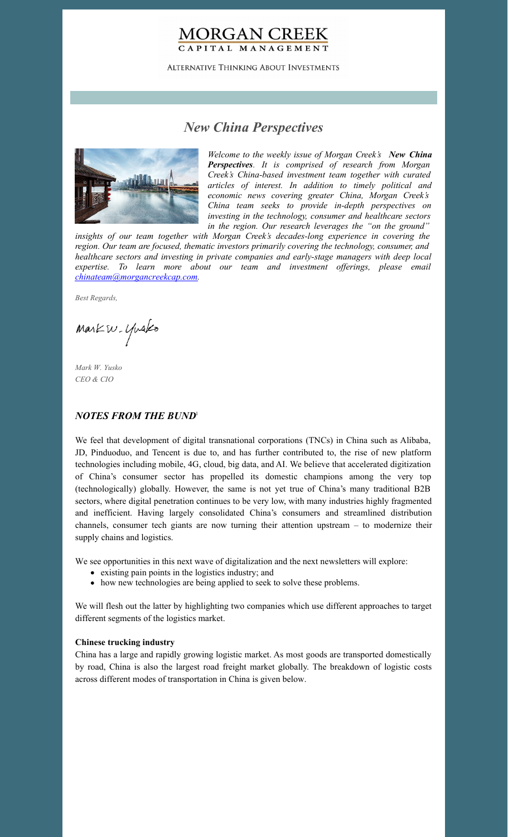# **MORGAN CREEK** CAPITAL MANAGEMENT

**ALTERNATIVE THINKING ABOUT INVESTMENTS** 

# *New China Perspectives*



*Welcome to the weekly issue of Morgan Creek's New China Perspectives. It is comprised of research from Morgan Creek's China-based investment team together with curated articles of interest. In addition to timely political and economic news covering greater China, Morgan Creek's China team seeks to provide in-depth perspectives on investing in the technology, consumer and healthcare sectors in the region. Our research leverages the "on the ground"*

*insights of our team together with Morgan Creek's decades-long experience in covering the region. Our team are focused, thematic investors primarily covering the technology, consumer, and healthcare sectors and investing in private companies and early-stage managers with deep local expertise. To learn more about our team and investment of erings, please email [chinateam@morgancreekcap.com](mailto:chinateam@morgancreekcap.com).*

*Best Regards,*

Markw. Yusko

*Mark W. Yusko CEO & CIO*

### *NOTES FROM THE BUND* 1

We feel that development of digital transnational corporations (TNCs) in China such as Alibaba, JD, Pinduoduo, and Tencent is due to, and has further contributed to, the rise of new platform technologies including mobile, 4G, cloud, big data, and AI. We believe that accelerated digitization of China's consumer sector has propelled its domestic champions among the very top (technologically) globally. However, the same is not yet true of China's many traditional B2B sectors, where digital penetration continues to be very low, with many industries highly fragmented and inefficient. Having largely consolidated China's consumers and streamlined distribution channels, consumer tech giants are now turning their attention upstream – to modernize their supply chains and logistics.

We see opportunities in this next wave of digitalization and the next newsletters will explore:

- existing pain points in the logistics industry; and
- how new technologies are being applied to seek to solve these problems.

We will flesh out the latter by highlighting two companies which use different approaches to target different segments of the logistics market.

#### **Chinese trucking industry**

China has a large and rapidly growing logistic market. As most goods are transported domestically by road, China is also the largest road freight market globally. The breakdown of logistic costs across different modes of transportation in China is given below.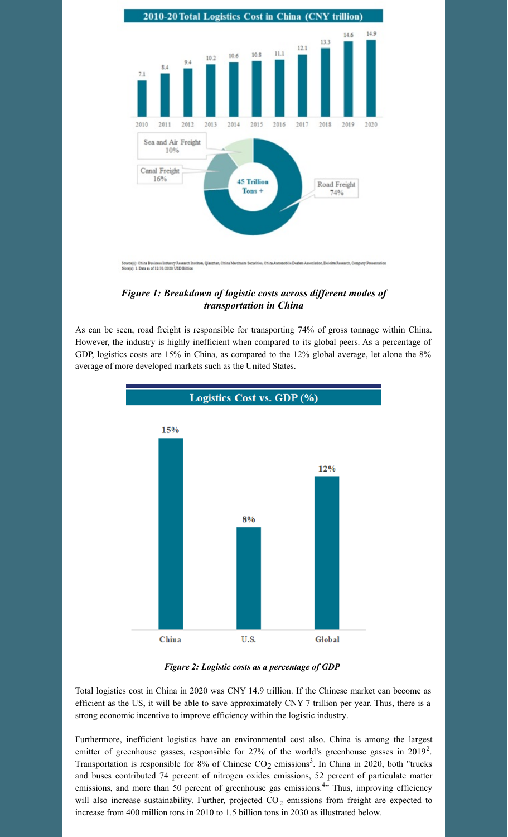

### *Figure 1: Breakdown of logistic costs across dif erent modes of transportation in China*

As can be seen, road freight is responsible for transporting 74% of gross tonnage within China. However, the industry is highly inefficient when compared to its global peers. As a percentage of GDP, logistics costs are 15% in China, as compared to the 12% global average, let alone the 8% average of more developed markets such as the United States.



#### *Figure 2: Logistic costs as a percentage of GDP*

Total logistics cost in China in 2020 was CNY 14.9 trillion. If the Chinese market can become as efficient as the US, it will be able to save approximately CNY 7 trillion per year. Thus, there is a strong economic incentive to improve efficiency within the logistic industry.

Furthermore, inefficient logistics have an environmental cost also. China is among the largest emitter of greenhouse gasses, responsible for 27% of the world's greenhouse gasses in 2019<sup>2</sup>. Transportation is responsible for  $8\%$  of Chinese  $CO_2$  emissions<sup>3</sup>. In China in 2020, both "trucks and buses contributed 74 percent of nitrogen oxides emissions, 52 percent of particulate matter emissions, and more than 50 percent of greenhouse gas emissions.<sup>4</sup>" Thus, improving efficiency will also increase sustainability. Further, projected  $CO_2$  emissions from freight are expected to increase from 400 million tons in 2010 to 1.5 billion tons in 2030 as illustrated below.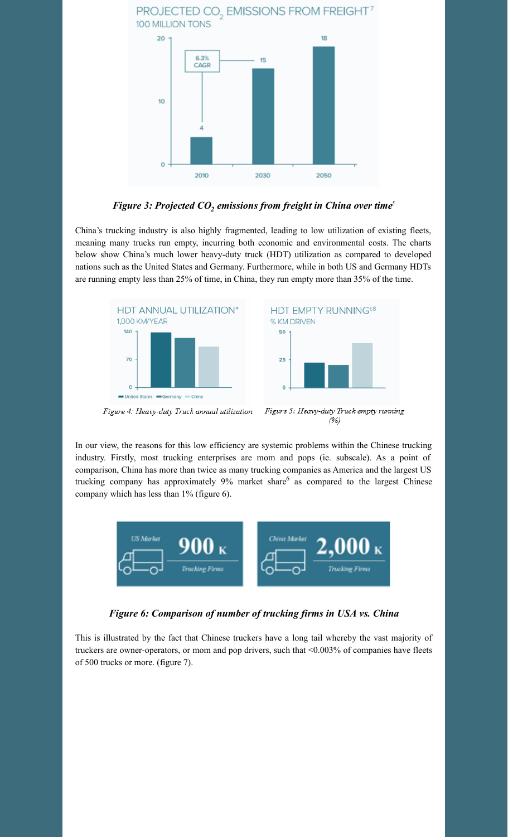

*Figure 3: Projected CO<sup>2</sup> emissions from freight in China over time 5*

China's trucking industry is also highly fragmented, leading to low utilization of existing fleets, meaning many trucks run empty, incurring both economic and environmental costs. The charts below show China's much lower heavy-duty truck (HDT) utilization as compared to developed nations such as the United States and Germany. Furthermore, while in both US and Germany HDTs are running empty less than 25% of time, in China, they run empty more than 35% of the time.



In our view, the reasons for this low efficiency are systemic problems within the Chinese trucking industry. Firstly, most trucking enterprises are mom and pops (ie. subscale). As a point of comparison, China has more than twice as many trucking companies as America and the largest US trucking company has approximately 9% market share <sup>6</sup> as compared to the largest Chinese company which has less than 1% (figure 6).



*Figure 6: Comparison of number of trucking firms in USA vs. China*

This is illustrated by the fact that Chinese truckers have a long tail whereby the vast majority of truckers are owner-operators, or mom and pop drivers, such that <0.003% of companies have fleets of 500 trucks or more. (figure 7).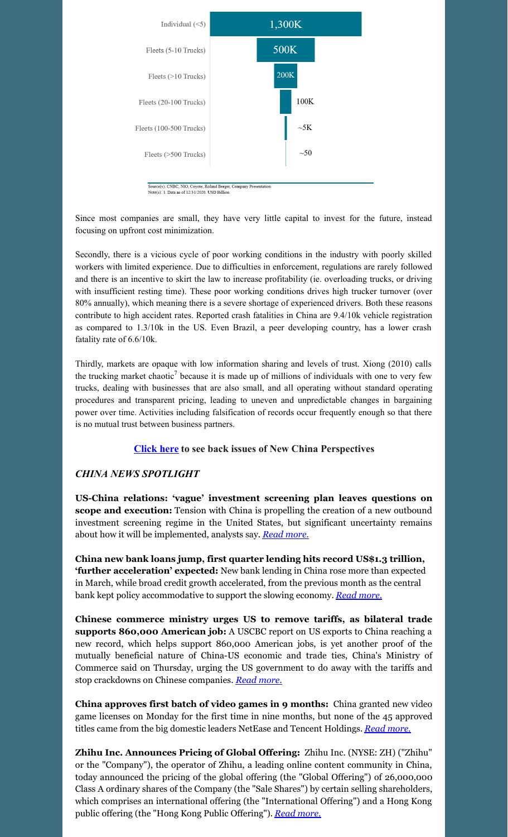

urce(s): CNBC, NIO, Coyote, Roland Berger<br>te(s): 1. Data as of 12/31/2020. USD Billion

Since most companies are small, they have very little capital to invest for the future, instead focusing on upfront cost minimization.

Secondly, there is a vicious cycle of poor working conditions in the industry with poorly skilled workers with limited experience. Due to difficulties in enforcement, regulations are rarely followed and there is an incentive to skirt the law to increase profitability (ie. overloading trucks, or driving with insufficient resting time). These poor working conditions drives high trucker turnover (over 80% annually), which meaning there is a severe shortage of experienced drivers. Both these reasons contribute to high accident rates. Reported crash fatalities in China are 9.4/10k vehicle registration as compared to 1.3/10k in the US. Even Brazil, a peer developing country, has a lower crash fatality rate of 6.6/10k.

Thirdly, markets are opaque with low information sharing and levels of trust. Xiong (2010) calls the trucking market chaotic<sup>7</sup> because it is made up of millions of individuals with one to very few trucks, dealing with businesses that are also small, and all operating without standard operating procedures and transparent pricing, leading to uneven and unpredictable changes in bargaining power over time. Activities including falsification of records occur frequently enough so that there is no mutual trust between business partners.

### **[Click](https://www.morgancreekcap.com/market-commentary/#investment-process) here to see back issues of New China Perspectives**

## *CHINA NEWS SPOTLIGHT*

**US-China relations: 'vague' investment screening plan leaves questions on scope and execution:** Tension with China is propelling the creation of a new outbound investment screening regime in the United States, but significant uncertainty remains about how it will be implemented, analysts say. *Read [more.](https://www.scmp.com/economy/china-economy/article/3173864/us-china-relations-vague-investment-screening-plan-leaves)*

**China new bank loans jump, first quarter lending hits record US\$1.3 trillion, 'further acceleration' expected:** New bank lending in China rose more than expected in March, while broad credit growth accelerated, from the previous month as the central bank kept policy accommodative to support the slowing economy. *Read [more.](https://www.scmp.com/economy/economic-indicators/article/3173855/china-new-bank-loans-jump-us492-billion-march-beating)*

**Chinese commerce ministry urges US to remove tariffs, as bilateral trade supports 860,000 American job:** A USCBC report on US exports to China reaching a new record, which helps support 860,000 American jobs, is yet another proof of the mutually beneficial nature of China-US economic and trade ties, China's Ministry of Commerce said on Thursday, urging the US government to do away with the tariffs and stop crackdowns on Chinese companies. *Read [more.](https://www.globaltimes.cn/page/202204/1259323.shtml)*

**China approves first batch of video games in 9 months:** China granted new video game licenses on Monday for the first time in nine months, but none of the 45 approved titles came from the big domestic leaders NetEase and Tencent Holdings. *Read [more.](https://asia.nikkei.com/Business/Media-Entertainment/China-approves-first-batch-of-video-games-in-9-months)*

**Zhihu Inc. Announces Pricing of Global Offering:** Zhihu Inc. (NYSE: ZH) ("Zhihu" or the "Company"), the operator of Zhihu, a leading online content community in China, today announced the pricing of the global offering (the "Global Offering") of 26,000,000 Class A ordinary shares of the Company (the "Sale Shares") by certain selling shareholders, which comprises an international offering (the "International Offering") and a Hong Kong public offering (the "Hong Kong Public Offering"). *Read [more.](https://www.prnewswire.com/news-releases/zhihu-inc-announces-pricing-of-global-offering-301525859.html)*